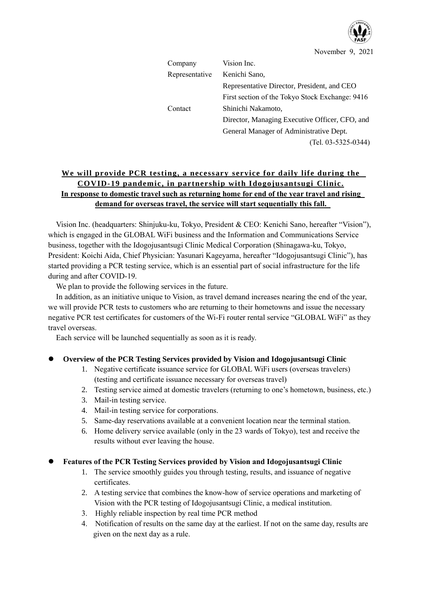

November 9, 2021

| Company        | Vision Inc.                                     |
|----------------|-------------------------------------------------|
| Representative | Kenichi Sano,                                   |
|                | Representative Director, President, and CEO     |
|                | First section of the Tokyo Stock Exchange: 9416 |
| Contact        | Shinichi Nakamoto,                              |
|                | Director, Managing Executive Officer, CFO, and  |
|                | General Manager of Administrative Dept.         |
|                | $(Tel. 03-5325-0344)$                           |

# **We will provide PCR testing, a necessary service for daily life during the COVID-19 pandemic, in partnership with Idogojusantsugi Clinic. In response to domestic travel such as returning home for end of the year travel and rising demand for overseas travel, the service will start sequentially this fall.**

Vision Inc. (headquarters: Shinjuku-ku, Tokyo, President & CEO: Kenichi Sano, hereafter "Vision"), which is engaged in the GLOBAL WiFi business and the Information and Communications Service business, together with the Idogojusantsugi Clinic Medical Corporation (Shinagawa-ku, Tokyo, President: Koichi Aida, Chief Physician: Yasunari Kageyama, hereafter "Idogojusantsugi Clinic"), has started providing a PCR testing service, which is an essential part of social infrastructure for the life during and after COVID-19.

We plan to provide the following services in the future.

In addition, as an initiative unique to Vision, as travel demand increases nearing the end of the year, we will provide PCR tests to customers who are returning to their hometowns and issue the necessary negative PCR test certificates for customers of the Wi-Fi router rental service "GLOBAL WiFi" as they travel overseas.

Each service will be launched sequentially as soon as it is ready.

## ⚫ **Overview of the PCR Testing Services provided by Vision and Idogojusantsugi Clinic**

- 1. Negative certificate issuance service for GLOBAL WiFi users (overseas travelers) (testing and certificate issuance necessary for overseas travel)
- 2. Testing service aimed at domestic travelers (returning to one's hometown, business, etc.)
- 3. Mail-in testing service.
- 4. Mail-in testing service for corporations.
- 5. Same-day reservations available at a convenient location near the terminal station.
- 6. Home delivery service available (only in the 23 wards of Tokyo), test and receive the results without ever leaving the house.

## ⚫ **Features of the PCR Testing Services provided by Vision and Idogojusantsugi Clinic**

- 1. The service smoothly guides you through testing, results, and issuance of negative certificates.
- 2. A testing service that combines the know-how of service operations and marketing of Vision with the PCR testing of Idogojusantsugi Clinic, a medical institution.
- 3. Highly reliable inspection by real time PCR method
- 4. Notification of results on the same day at the earliest. If not on the same day, results are given on the next day as a rule.